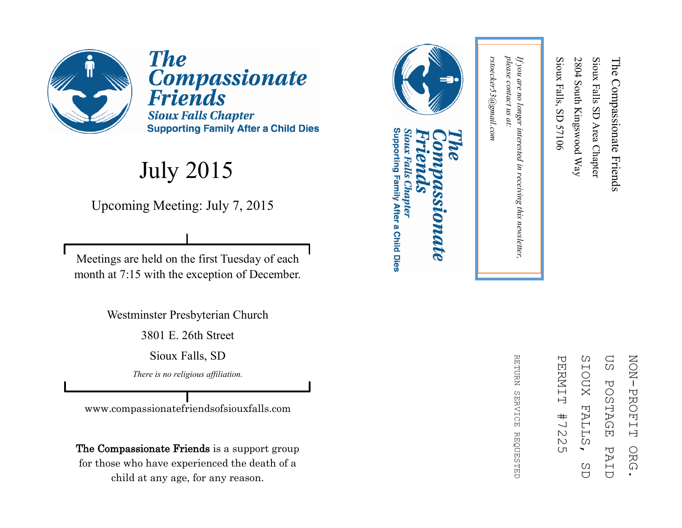

**The** Compassionate<br>Friends **Sioux Falls Chapter Supporting Family After a Child Dies** 

#### July 2015

Upcoming Meeting: July 7, 2015

Meetings are held on the first Tuesday of each month at 7:15 with the exception of December.

Westminster Presbyterian Church

3801 E. 26th Street

Sioux Falls, SD

*There is no religious affiliation.*

www.compassionatefriendsofsiouxfalls.com

The Compassionate Friends is a support group for those who have experienced the death of a child at any age, for any reason.



### Supporting Family After a Child Dies Sioux Falls Chapter **DIDATE**

ΩS SIOUX FALL **NON-PROFIT** ZOZI PROFIT ORG. PERNIT PERMIT #7225 SIOUX FALLS, SD US POSTAGE PAID**POSTAGE**  $#$  $\frac{1}{2}$  $\mathbbmss{N}$ Ω PAI ORG  $\overline{(\Pi)}$ C)  $\overline{C}$  $\bigcup$ 

**RETDRN** REFURN SERVICE REQUESTED **SERVICE REQUESTED** 

please contact us at: *please contact us at:*  rstoecker53@gmail.com *rstoecker53@gmail.com*

*If you are no longer interested in receiving this newsletter,* 

in receiving this newsletter,

If you are no longer interested

Sioux Falls, SD 57106

Sioux Falls, SD 57106

2804 South Kingswood Way

2804 South Kingswood Way

Sioux Falls SD Area Chapter

Sioux Falls SD Area Chapter

The Compassionate Friends

The Compassionate Friends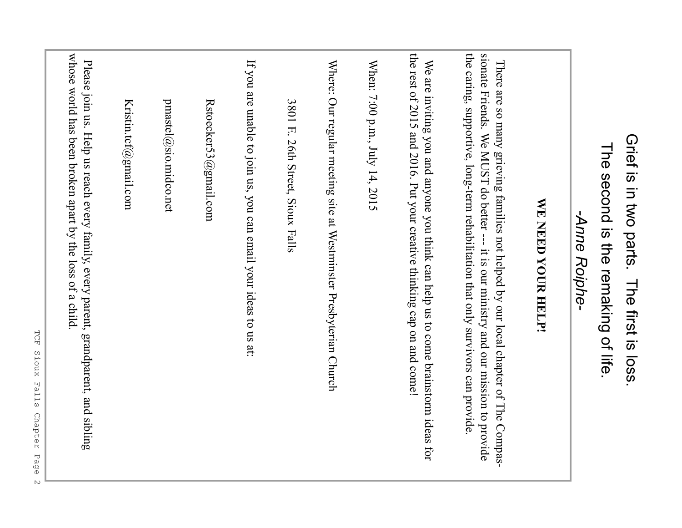| Grief is in two parts. The first is loss.<br>The second is the remaking of life.                                                                                                                                                                               |
|----------------------------------------------------------------------------------------------------------------------------------------------------------------------------------------------------------------------------------------------------------------|
| -Anne Roiphe-                                                                                                                                                                                                                                                  |
| WE NEED YOUR HELP!                                                                                                                                                                                                                                             |
| the caring, supportive, long-term rehabilitation that only survivors can provide<br>sionate Friends. We MUST do better --- it is our ministry and our mission to provide<br>There are so many grieving families not helped by our local chapter of The Compas- |
| the rest of 2015 and 2016. Put your creative thinking cap on and come!<br>We are inviting you and anyone you think can help us to come brainstorm ideas for                                                                                                    |
| When: 7:00 p.m., July 14, 2015                                                                                                                                                                                                                                 |
| Where: Our regular meeting site at Westminster Presbyterian Church                                                                                                                                                                                             |
| 3801 E. 26th Street, Sioux Falls                                                                                                                                                                                                                               |
| If you are unable to join us, you can email your ideas to us at:                                                                                                                                                                                               |
| Rstoecker53@gmail.com                                                                                                                                                                                                                                          |
| pmastel@sio.midco.net                                                                                                                                                                                                                                          |
| Kristin.tcf@gmail.com                                                                                                                                                                                                                                          |
| whose world has been broken apart by the loss of a child<br>Please join us. Help us reach every family, every parent, grandparent, and sibling                                                                                                                 |
| TCF<br>Sioux Falls Chapter Page                                                                                                                                                                                                                                |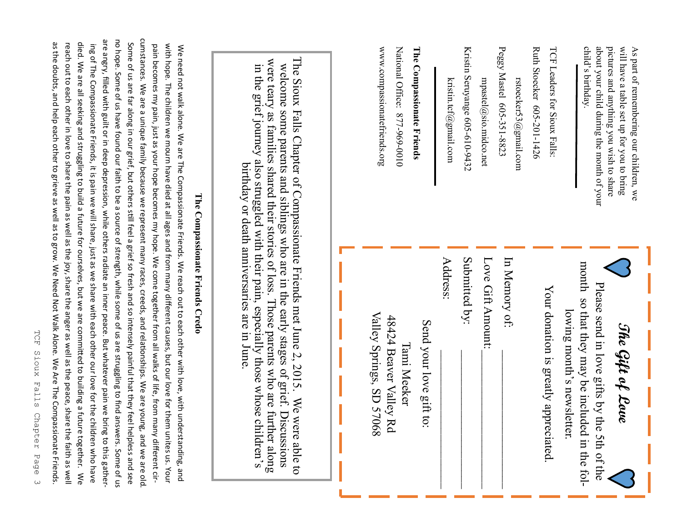| cumstances. We are a unique family because we represent many races, creeds, and relationships. We are young, and we are old.<br>Some of us are far along in our grief, but others still feel a grief so fresh and so intensely painful that they feel helpless and see<br>pain becomes my pain, just as your hope becomes my hope. We come together from all walks of life, from many different cir-<br>with hem anilates us your black of the same and from many different causes, but our like tength over the manger of the sequent conternal with the set of the children we must be all assess but over the set of the set of the<br>We need not walk alone. We are The Compassionate Friends. We reach out to each other with love, with understanding, and | The Sioux Falls Chapter of Compassionate Friends met June $2, 2015$ . We were able to<br>were teary as families shared their stories of loss. Those parents who are further along<br>welcome some parents and siblings who are in the early stages of grief. Discussions<br>in the grief journey also struggled with their pain, especially those whose children's<br>birthday or death anniversaries are in June | www.compassionatefriends.org<br>National Office: 877-969-0010<br>The Compassionate Friends   | Kristin Seruyange 605-610-9432<br>kristin.tcf@gmail.com<br>mpastel@sio.midco.net | Peggy Mastel 605-351-8823<br>TCF Leaders for Sioux Falls:<br>Ruth Stoecker 605-201-1426<br>rstoecker53@gmail.com | child's birthday.<br>about your child during the month of your<br>pictures and anything you wish to share<br>will have a table set up for you to bring<br>As part of remembering our children, we |
|-------------------------------------------------------------------------------------------------------------------------------------------------------------------------------------------------------------------------------------------------------------------------------------------------------------------------------------------------------------------------------------------------------------------------------------------------------------------------------------------------------------------------------------------------------------------------------------------------------------------------------------------------------------------------------------------------------------------------------------------------------------------|-------------------------------------------------------------------------------------------------------------------------------------------------------------------------------------------------------------------------------------------------------------------------------------------------------------------------------------------------------------------------------------------------------------------|----------------------------------------------------------------------------------------------|----------------------------------------------------------------------------------|------------------------------------------------------------------------------------------------------------------|---------------------------------------------------------------------------------------------------------------------------------------------------------------------------------------------------|
| The Compassionate Friends Credo                                                                                                                                                                                                                                                                                                                                                                                                                                                                                                                                                                                                                                                                                                                                   |                                                                                                                                                                                                                                                                                                                                                                                                                   | Valley Springs, SD 57068<br>48424 Beaver Valley Rd<br>Send your love gift to:<br>Tami Meeker | Submitted by:<br>Address:<br>Love Gift Amount:                                   | In Memory of:<br>Your donation is greatly appreciated.                                                           | month so that they may be included in the fol-<br>Please send in love gifts by the 5th of the<br>lowing month's newsletter.<br>The Gift of Love                                                   |

ing of The Compassionate Friends, it is pain we will share, just as we share with each other our love for the children who have b died. We are all seeking and struggling to build a future for ourselves, but we are committed to building a future together. died. We are all seeking and struggling to build a future for ourselves, but we are committed to building a future together. We reach out to each other in love to share the pain as well as the joy, share the anger as well as the peace, share the faith as well as the doubts, and help each other to grieve as well as to grow. We Need Not Walk Alone. We Are The Compassionate Friends.

ing of The Compassionate Friends, it is pain we will share, just as we share with each other our love for the children who have

as the doubts, and help each other to grieve as well as to grow. We Need Not Walk Alone. We Are The Compassionate Friends. reach out to each other in love to share the pain as well as the joy, share the anger as well as the peace, share the faith as well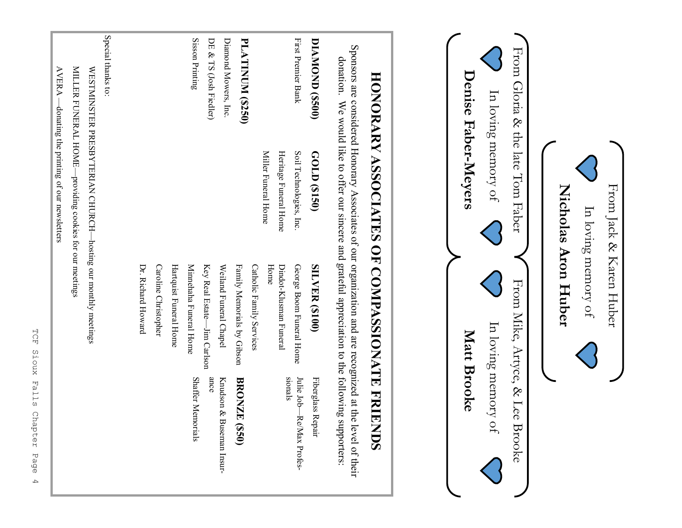

From Mike, Artyce, & Lee Brooke

From Mike, Artyce, & Lee Brooke

From Gloria & the late Tom Faber

From Gloria & the late Tom Faber

From Jack & Karen Huber

From Jack & Karen Huber

In loving memory of

In loving memory of

**Nicholas Aron Huber**

Nicholas Aron Huber

In loving memory of

In loving memory of

In loving memory of

In loving memory of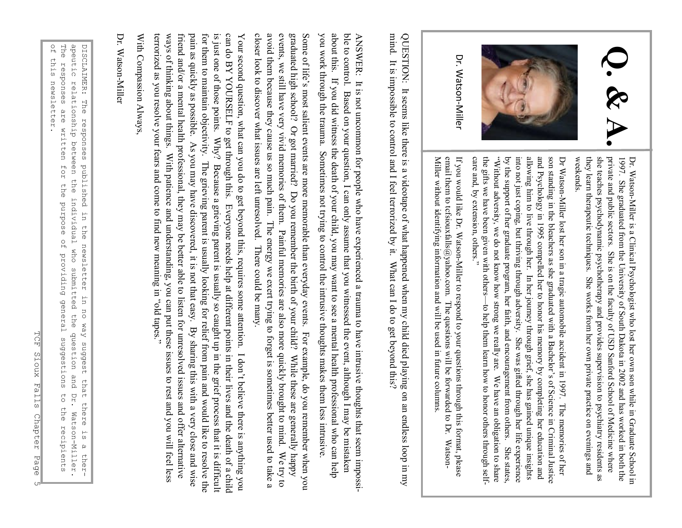

Dr. WatsonDr. Watson-Miller is a Clinical Psychologist who lost her own son while in Graduate School in Miller is a Clinical Psychologist who lost her own son while in Graduate School in weekends. they learn therapeutic techniques. She works from her own private practice on evenings and she teaches psychodynamic psychotherapy and provides supervision to psychiatry residents as private and public sectors. She is on the faculty of USD Sanford School of Medicine where 1997. She graduated from the University of South Dakota in 2002 and has worked in both the private and public sectors. She is on the faculty of USD Sanford School of Medicine where she teaches psychodynamic psychotherapy a

Dr Watson son standing in the bleachers as she graduated with a Bachelorson standing in the bleachers as she graduated with a Bachelor's of Science in Criminal Justice s of Science in Criminal Justice the gifts we have been given with others "Without adversity, we do not know how strong we really are. We have an obligation to share Without adversity, we do not know how strong we really are. We have an obligation to share by the support of her graduate program, her faith, and encouragement from others. She states, into not just coping, but thriving through adversity. She was gifted through her life experience allowing him to live through her. In her journey through grief, she has gained unique insights and Psychology in 1995 compelled her to honor his memory by completing her education and allowing him to live through her. In her journey through grief, she has gained unique insights into not just coping, but thriving th

Miller without identifying information and will be used in future columns email them to tcfsiouxfalls@yahoo.com. The questions will be forwarded to Dr. If you would like Dr. Watson-Miller to respond to your questions through this format, please entan utein to teisiouxianis@yanoo.com. The questions will be to watued to DJ, Watson-<br>Miller without identifying information and will be used in future columns. email them to tcfsiouxfalls@yahoo.com. The questions will be forwarded to Dr. WatsonIf you would like Dr. WatsonMiller to respond to your questions through this format, please Watson-

mind. It is impossible to control and I feel terrorized by it. What can I do to get beyond this? QUESTION: It seems like there is a videotape of what happened when my child died playing on an endless loop in my QUESTION: It seems like there is a videotape of what happened when my child died playing on an endless loop in my It is impossible to control and I feel terrorized by it. What can I do to get beyond this?

you work through the trauma. Sometimes not trying to control the intrusive thoughts makes them less intrusive you work through the trauma. Sometimes not trying to control the intrusive thoughts makes them less intrusive. about this. If you did witness the death of your child, you may want to see a mental health professional who can help ble to control. Based on your question, I can only assume that you witnessed the event, although I may be mistaken ble to control. Based on your question, I can only assume that you witnessed the event, although I may be mistaken ANSWER: It is not uncommon for people who have experienced a trauma to have intrusive thoughts that seem impossi-ANSWER: It is not uncommon for people who have experienced a trauma to have intrusive thoughts that seem impossi about this. If you did witness the death of your child, you may want to see a mental health professional who can help

closer look to discover what issues are left unresolved. There could be many. avoid them because they cause us so much pain. The energy we exert trying to forget is sometimes better used to take a events, we still have very vivid memories of them. Painful memories are also more quickly brought to mind. graduated high school? Or got married? Do you remember the birth of your child? While these are generally happy Some of life's most salient events are more memorable than everyday events. For example, do you remember when you graduated high school? Or got married? Do you remember the birth of your child? While these are generally happy closer look to discover what issues are left unresolved. There could be many. avoid them because they cause us so much pain. The energy we exert trying to forget is sometimes better used to take a events, we still have very vivid memories of them. Painful memories are also more quickly brought to mind. We try to Some of life s most salient events are more memorable than everyday events. For example, do you remember when you We try to

pain as quickly as possible. As you may have discovered, it is not that easy. By sharing this with a very close and wise is just one of those points. Why? Because a grieving parent is usually so caught up in the grief process that it is difficult can do BY YOURSELF to get through this. Everyone needs help at different points in their lives and the death of a child terrorized as you resolve your fears and come to find new meaning in ways of thinking about things. With patience and understanding, you can put these issues to rest and you will feel less ways of thinking about things. With patience and understanding, you can put these issues to rest and you will feel less friend and/or a mental health professional, they may be better able to listen for unresolved issues and offer alternative pain as quickly as possible. As you may have discovered, it is not that easy. By sharing this with a very close and wise for them to maintain objectivity. The grieving parent is usually looking for relief from pain and would like to resolve the is just one of those points. Why? Because a grieving parent is usually so caught up in the grief process that it is difficultionally so  $\frac{1}{2}$ Your second question, what can you do to get beyond this, requires some attention. I don't believe there is anything you Your second question, what can you do to get beyond this, requires some attention. I don friend and/or a mental health professional, they may be better able to listen for unresolved issues and offer alternative for them to maintain objectivity. The grieving parent is usually looking for relief from pain and would like to resolve the to relief from  $\alpha$ can do BY YOURSELF to get through this. Everyone needs help at different points in their lives and the death of a child  $_{\textrm{\tiny{c.}}}$  səd $\textrm{a}$ ı p $\textrm{p}$ o., t believe there is anything you

With Compassion Always<br>Dr. Watson-Miller

Dr. Watson

of this newsletter. The responses are written for the purpose of providing general suggestions to the DISCLAIMER: The responses published in the newsletter in no way suggest that there is a therof this newsletter. The responses are written for the purpose of providing general suggestions to the recipients a peutic DISCLAIMER: The responses published in the newsletter in no way suggest that there is a therrelationship between the individual who submitted the question a<br>D Dr. Watson-Miller. Watson-Miller. recipients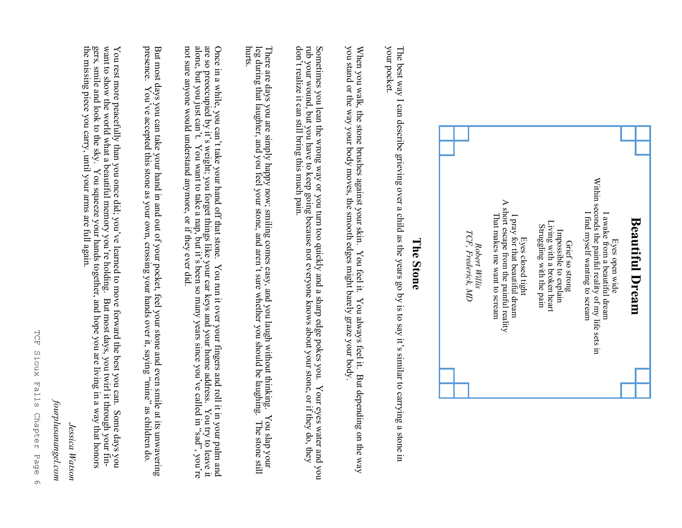

#### The Stone **The Stone**

your pocket. The best way I can describe grieving over a child as the years go by is to say it's similar to carrying a stone in your pocket. The best way I can describe grieving over a child as the years go by is to say its similar to carrying a stone in

When you walk, the stone brushes against your skin. You feel it. You always feel it. But depending on the way you stand or the way your body moves, the smooth edges might barely graze your body. you stand or the way your body moves, the smooth edges might barely graze your body. When you walk, the stone brushes against your skin. You always feel it. But depending on the way

Sometimes you lean the wrong way or you turn too quickly and a sharp edge pokes you. Your eyes water and you don 'rub your wound, but you have to keep going because not everyone knows about your stone, or if they do, they Sometimes you lean the wrong way or you turn too quickly and a sharp edge pokes you. Your eyes water and you t realize it can still bring this much pain.

leg during that laughter, and you feel your stone, and aren There are days you are simply happy now; smiling comes easy, and you laugh without thinking. You slap your There are days you are simply happy now; smiling comes easy, and you laugh without thinking. You slap your leg during that laughter, and you feel your stone, and aren't sure whether you should be laughing. The stone still t sure whether you should be laughing. The stone still hurts.

Once in a while, you can't take your hand off that stone. not sure anyone would understand anymore, or if they ever did. alone, but you just canare so preoccupied by itOnce in a while, you can بــ ج.<br>' t. You want to take a nap, but its weight; you forget things like your car keys and your home address. You try to leave it t take your hand off that stone. You run it over your fingers and roll it in your palm and ` s been so many years since youYou run it over your fingers and roll it in your palm and 've called in pes, ", you're

presence. presence. You But most days you can take your hand in and out of your pocket, feel your stone and even smile at its unwavering 've accepted this stone as your own, crossing your hands over it, saying auine". as children do.

gers, smile and look to the sky. You squeeze your hands together, and hope you are living in a way that honors<br>the missing piece you carry, until your arms are full again. want to show the world what a beautiful memory you're holding. But most days, you twirl it through your fin-You rest more peacefully than you once did; you've learned to move forward the best you can. Some days you the missing piece you carry, until your arms are full again. gers, smile and look to the sky. You squeeze your hands together, and hope you are living in a way that honors want to show the world what a beautiful memory youYou rest more peacefully than you once did; youve learned to move forward the best you can. Some days you re holding. But most days, you twirl it through your fin-

*Jessica Watson*

Jessica Watson

*fourplusanangel.com*

fourplusanangel.com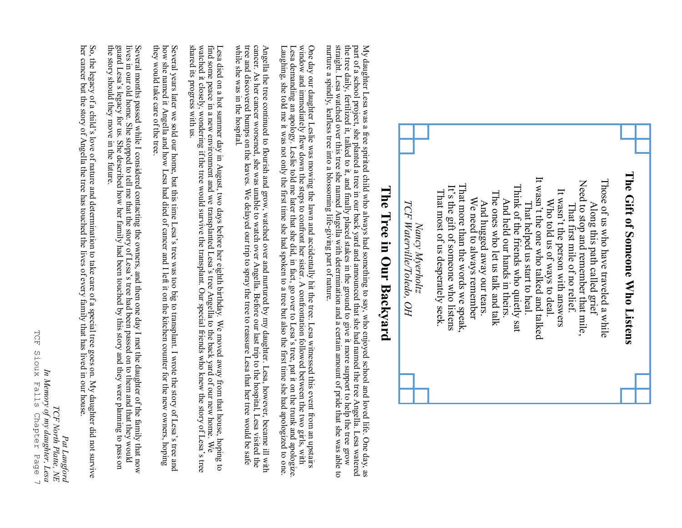

## The Tree in Our Backyard **The Tree in Our Backyard**

straight. Lesa watched over this tree she named Angella with determination and a certain amount of pride that she was able to the tree daily, fertilized it, talked to it, and finally placed stakes in the ground to give it more support to help the tree grow nurture a spindly, leafless tree into a blossoming life-giving part of nature nurture a spindly, leafless tree into a blossoming life straight. Lesa watched over this tree she named Angella with determination and a certain amount of pride that she was able to<br>nurture a spindly, leafless tree into a blossoming life-giving part of nature. the tree daily, fertilized it, talked to help the ground to give it must final final final final to give it more support to help the tree part of a school project, she planted a tree in our back yard and announced that she had named the tree Angella. Lesa watered part of a school project, she planted a tree in our back yard and announced that she had named the tree Angella. Lesa watered My daughter Lesa was a free spirited child who always had something to say, who enjoyed school and loved life. One day, as My daughter Lesa was a free spirited child who always had something to say, who enjoyed school and loved life. One day, as

window and immediately flew down the steps to confront her sister. A confrontation followed between the two girls, with Lesa demanding an apology. Leslie told me later that she did, in fact, go over to Lesa's tree, pat it One day our daughter Leslie was mowing the lawn and accidentally hit the tree. Lesa witnessed this event from an upstairs Laughing, she told me it was not only the first time she had spoken to a tree but also the first time she had apologized to one. Laughing, she told me it was not only the first time she had spoken to a tree but also the first time she had apologized to one. Lesa demanding an apology. Leslie told me later that she did, in fact, go over to Lesa window and immediately flew down the steps to confront her sister. A confront her sister,  $\Lambda$  confront her two girls, with One day our daughter Leslie was mowing the lawn and accidentally hit the tree. Lesa witnessed this event from an upstairs s tree, pat it on the trunk and apologize.

Angella the tree continued to flourish and grow, watched over and nurtured by my daughter. Lesa, however, became ill with cancer. As her cancer worsened, she was unable to watch over Angella. Before our last trip to the ho while she was in the hospital. while she was in the hospital. tree and discovered bumps on the leaves. We delayed our trip to spray the tree to reassure Lesa that her tree would be safe cancer. As her cancer worsened, she was unable to watch over Angella. Before our last trip to the hospital, Lesa visited the Angella the tree continued to flourish and grow, watched over and nurtured by my daughter. Lesa, however, became ill with

shared its progress with us. Lesa died on a hot summer day in August, two days before her eighth birthday. We moved away from that house, hoping to find some peace in a new environment and we transplanted Lesa's tree Angella to the back yard of our ne shared its progress with us. watched it closely, wondering if the tree would survive the transplant. Our special friends who knew the story of Lesafind some peace in a new environment and we transplanted Lesa Lesa died on a hot summer day in August, two days before her eighth birthday. We moved away from that house, hoping to s tree Angella to the back yard of our new home. We 's tree

they would take care of the tree. they would take care of the tree. how she named it Angella and how Lesa had died of cancer and I left it on the kitchen counter for the new owners, hoping Several years later we sold our home, but this time Lesa 's tree was too big to transplant. I wrote the story of Lesa's tree and

the story should they move in the future. the story should they move in the future. guard Lesa'Several months passed while I considered contacting the owners, and then one day I met the daughter of the family that now<br>lives in our old home. She stopped to tell me that the story of Lesa's tree had been passed on to t lives in our old home. She stopped to tell me that the story of Lesa Several months passed while I considered contacting the owners, and then one day I met the daughter of the family that now s legacy for us. She described how her family had been touched by this story and they were planning to pass on s tree had been passed on to them and that they would

So, the legacy of a child So, the legacy of a child's love of nature and determination to take care of a special tree goes on. My daughter did not survive<br>her cancer but the story of Angella the tree has touched the lives of every family that has l s love of nature and determination to take care of a special tree goes on. My daughter did not survive her cancer but the story of Angella the tree has touched the lives of every family that has lived in our house.